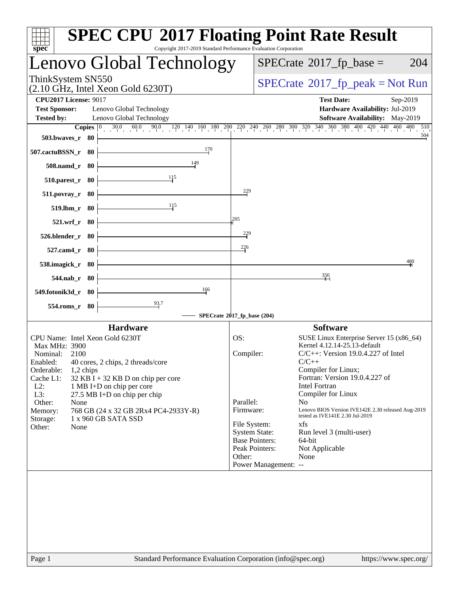| Copyright 2017-2019 Standard Performance Evaluation Corporation<br>$spec^*$                                                                                                                                                                                                                                                                                                                                   | <b>SPEC CPU®2017 Floating Point Rate Result</b>                                                                                                                                                                                                                                                                                                                                                                                                                                                                                                                                          |
|---------------------------------------------------------------------------------------------------------------------------------------------------------------------------------------------------------------------------------------------------------------------------------------------------------------------------------------------------------------------------------------------------------------|------------------------------------------------------------------------------------------------------------------------------------------------------------------------------------------------------------------------------------------------------------------------------------------------------------------------------------------------------------------------------------------------------------------------------------------------------------------------------------------------------------------------------------------------------------------------------------------|
| Lenovo Global Technology                                                                                                                                                                                                                                                                                                                                                                                      | $SPECrate^{\circledast}2017$ _fp_base =<br>204                                                                                                                                                                                                                                                                                                                                                                                                                                                                                                                                           |
| ThinkSystem SN550<br>$(2.10 \text{ GHz}, \text{Intel Xeon Gold } 6230 \text{T})$                                                                                                                                                                                                                                                                                                                              | $SPECrate^{\circ}2017$ [p_peak = Not Run                                                                                                                                                                                                                                                                                                                                                                                                                                                                                                                                                 |
| <b>CPU2017 License: 9017</b><br><b>Test Sponsor:</b><br>Lenovo Global Technology<br>Lenovo Global Technology<br><b>Tested by:</b><br>60.0<br>$0 \t 90.0$<br>$\frac{30.0}{2}$<br>Copies $ 0\rangle$<br>503.bwayes_r 80                                                                                                                                                                                         | <b>Test Date:</b><br>Sep-2019<br>Hardware Availability: Jul-2019<br>Software Availability: May-2019<br>$120 \quad 140 \quad 160 \quad 180 \quad 200 \quad 220 \quad 240 \quad 260 \quad 280 \quad 300 \quad 320 \quad 340 \quad 360 \quad 380 \quad 400 \quad 420 \quad 440 \quad 460 \quad 480$<br>510<br>504                                                                                                                                                                                                                                                                           |
| 170<br>507.cactuBSSN_r 80                                                                                                                                                                                                                                                                                                                                                                                     |                                                                                                                                                                                                                                                                                                                                                                                                                                                                                                                                                                                          |
| 149<br>508.namd_r 80                                                                                                                                                                                                                                                                                                                                                                                          |                                                                                                                                                                                                                                                                                                                                                                                                                                                                                                                                                                                          |
| 115<br>$510.parest_r$ 80                                                                                                                                                                                                                                                                                                                                                                                      |                                                                                                                                                                                                                                                                                                                                                                                                                                                                                                                                                                                          |
| $511. povray_r$<br>-80<br>115                                                                                                                                                                                                                                                                                                                                                                                 | 229                                                                                                                                                                                                                                                                                                                                                                                                                                                                                                                                                                                      |
| 519.lbm_r 80<br>521.wrf_r 80                                                                                                                                                                                                                                                                                                                                                                                  | 205                                                                                                                                                                                                                                                                                                                                                                                                                                                                                                                                                                                      |
| 526.blender_r 80                                                                                                                                                                                                                                                                                                                                                                                              | $\frac{229}{5}$                                                                                                                                                                                                                                                                                                                                                                                                                                                                                                                                                                          |
| 527.cam4_r 80                                                                                                                                                                                                                                                                                                                                                                                                 | 226                                                                                                                                                                                                                                                                                                                                                                                                                                                                                                                                                                                      |
| 538.imagick_r 80                                                                                                                                                                                                                                                                                                                                                                                              | 480                                                                                                                                                                                                                                                                                                                                                                                                                                                                                                                                                                                      |
| 544.nab_r 80                                                                                                                                                                                                                                                                                                                                                                                                  | 350                                                                                                                                                                                                                                                                                                                                                                                                                                                                                                                                                                                      |
| 166<br>549.fotonik3d_r 80<br>$\frac{93.7}{4}$                                                                                                                                                                                                                                                                                                                                                                 |                                                                                                                                                                                                                                                                                                                                                                                                                                                                                                                                                                                          |
| 554.roms_r 80                                                                                                                                                                                                                                                                                                                                                                                                 | SPECrate®2017_fp_base (204)                                                                                                                                                                                                                                                                                                                                                                                                                                                                                                                                                              |
| <b>Hardware</b>                                                                                                                                                                                                                                                                                                                                                                                               | <b>Software</b>                                                                                                                                                                                                                                                                                                                                                                                                                                                                                                                                                                          |
| CPU Name: Intel Xeon Gold 6230T<br>Max MHz: 3900<br>Nominal:<br>2100<br>40 cores, 2 chips, 2 threads/core<br>Enabled:<br>Orderable:<br>1,2 chips<br>Cache L1:<br>$32$ KB I + 32 KB D on chip per core<br>$L2$ :<br>1 MB I+D on chip per core<br>L3:<br>27.5 MB I+D on chip per chip<br>Other:<br>None<br>768 GB (24 x 32 GB 2Rx4 PC4-2933Y-R)<br>Memory:<br>1 x 960 GB SATA SSD<br>Storage:<br>Other:<br>None | OS:<br>SUSE Linux Enterprise Server 15 (x86_64)<br>Kernel 4.12.14-25.13-default<br>Compiler:<br>$C/C++$ : Version 19.0.4.227 of Intel<br>$C/C++$<br>Compiler for Linux;<br>Fortran: Version 19.0.4.227 of<br><b>Intel Fortran</b><br>Compiler for Linux<br>Parallel:<br>N <sub>o</sub><br>Lenovo BIOS Version IVE142E 2.30 released Aug-2019<br>Firmware:<br>tested as IVE141E 2.30 Jul-2019<br>File System:<br>xfs<br><b>System State:</b><br>Run level 3 (multi-user)<br><b>Base Pointers:</b><br>64-bit<br>Peak Pointers:<br>Not Applicable<br>Other:<br>None<br>Power Management: -- |
| $D_{0}$ on 1                                                                                                                                                                                                                                                                                                                                                                                                  | http://www.com                                                                                                                                                                                                                                                                                                                                                                                                                                                                                                                                                                           |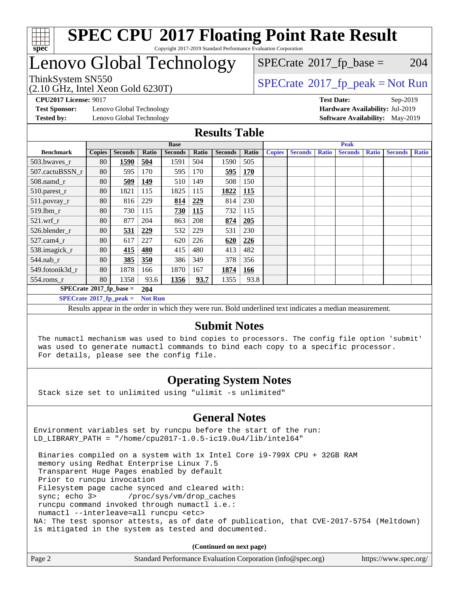

# Lenovo Global Technology

 $SPECTate$ <sup>®</sup>[2017\\_fp\\_base =](http://www.spec.org/auto/cpu2017/Docs/result-fields.html#SPECrate2017fpbase) 204

(2.10 GHz, Intel Xeon Gold 6230T)

ThinkSystem SN550<br>  $(2.10 \text{ GHz}_{\text{total}} \text{ York})$  [SPECrate](http://www.spec.org/auto/cpu2017/Docs/result-fields.html#SPECrate2017fppeak)®[2017\\_fp\\_peak = N](http://www.spec.org/auto/cpu2017/Docs/result-fields.html#SPECrate2017fppeak)ot Run

**[Test Sponsor:](http://www.spec.org/auto/cpu2017/Docs/result-fields.html#TestSponsor)** Lenovo Global Technology **[Hardware Availability:](http://www.spec.org/auto/cpu2017/Docs/result-fields.html#HardwareAvailability)** Jul-2019 **[Tested by:](http://www.spec.org/auto/cpu2017/Docs/result-fields.html#Testedby)** Lenovo Global Technology **[Software Availability:](http://www.spec.org/auto/cpu2017/Docs/result-fields.html#SoftwareAvailability)** May-2019

**[CPU2017 License:](http://www.spec.org/auto/cpu2017/Docs/result-fields.html#CPU2017License)** 9017 **[Test Date:](http://www.spec.org/auto/cpu2017/Docs/result-fields.html#TestDate)** Sep-2019

#### **[Results Table](http://www.spec.org/auto/cpu2017/Docs/result-fields.html#ResultsTable)**

|                                               | <b>Base</b>   |                |                |                | <b>Peak</b> |                |            |               |                |              |                |              |                |              |
|-----------------------------------------------|---------------|----------------|----------------|----------------|-------------|----------------|------------|---------------|----------------|--------------|----------------|--------------|----------------|--------------|
| <b>Benchmark</b>                              | <b>Copies</b> | <b>Seconds</b> | Ratio          | <b>Seconds</b> | Ratio       | <b>Seconds</b> | Ratio      | <b>Copies</b> | <b>Seconds</b> | <b>Ratio</b> | <b>Seconds</b> | <b>Ratio</b> | <b>Seconds</b> | <b>Ratio</b> |
| 503.bwaves_r                                  | 80            | 1590           | 504            | 1591           | 504         | 1590           | 505        |               |                |              |                |              |                |              |
| 507.cactuBSSN r                               | 80            | 595            | 170            | 595            | 170         | <u>595</u>     | <b>170</b> |               |                |              |                |              |                |              |
| $508$ .namd $r$                               | 80            | 509            | 149            | 510            | 149         | 508            | 150        |               |                |              |                |              |                |              |
| 510.parest_r                                  | 80            | 1821           | 115            | 1825           | 115         | 1822           | <b>115</b> |               |                |              |                |              |                |              |
| 511.povray_r                                  | 80            | 816            | 229            | 814            | 229         | 814            | 230        |               |                |              |                |              |                |              |
| 519.lbm r                                     | 80            | 730            | 115            | 730            | 115         | 732            | 115        |               |                |              |                |              |                |              |
| $521$ .wrf $r$                                | 80            | 877            | 204            | 863            | 208         | 874            | 205        |               |                |              |                |              |                |              |
| 526.blender r                                 | 80            | 531            | 229            | 532            | 229         | 531            | 230        |               |                |              |                |              |                |              |
| $527$ .cam $4r$                               | 80            | 617            | 227            | 620            | 226         | 620            | 226        |               |                |              |                |              |                |              |
| 538.imagick_r                                 | 80            | 415            | 480            | 415            | 480         | 413            | 482        |               |                |              |                |              |                |              |
| $544$ .nab r                                  | 80            | 385            | 350            | 386            | 349         | 378            | 356        |               |                |              |                |              |                |              |
| 549.fotonik3d r                               | 80            | 1878           | 166            | 1870           | 167         | 1874           | 166        |               |                |              |                |              |                |              |
| $554$ .roms_r                                 | 80            | 1358           | 93.6           | 1356           | 93.7        | 1355           | 93.8       |               |                |              |                |              |                |              |
| $SPECrate$ <sup>®</sup> 2017_fp_base =<br>204 |               |                |                |                |             |                |            |               |                |              |                |              |                |              |
| $SPECrate^{\circ}2017$ fp peak =              |               |                | <b>Not Run</b> |                |             |                |            |               |                |              |                |              |                |              |

Results appear in the [order in which they were run.](http://www.spec.org/auto/cpu2017/Docs/result-fields.html#RunOrder) Bold underlined text [indicates a median measurement.](http://www.spec.org/auto/cpu2017/Docs/result-fields.html#Median)

#### **[Submit Notes](http://www.spec.org/auto/cpu2017/Docs/result-fields.html#SubmitNotes)**

 The numactl mechanism was used to bind copies to processors. The config file option 'submit' was used to generate numactl commands to bind each copy to a specific processor. For details, please see the config file.

### **[Operating System Notes](http://www.spec.org/auto/cpu2017/Docs/result-fields.html#OperatingSystemNotes)**

Stack size set to unlimited using "ulimit -s unlimited"

### **[General Notes](http://www.spec.org/auto/cpu2017/Docs/result-fields.html#GeneralNotes)**

Environment variables set by runcpu before the start of the run: LD\_LIBRARY\_PATH = "/home/cpu2017-1.0.5-ic19.0u4/lib/intel64"

 Binaries compiled on a system with 1x Intel Core i9-799X CPU + 32GB RAM memory using Redhat Enterprise Linux 7.5 Transparent Huge Pages enabled by default Prior to runcpu invocation Filesystem page cache synced and cleared with: sync; echo 3> /proc/sys/vm/drop\_caches runcpu command invoked through numactl i.e.: numactl --interleave=all runcpu <etc> NA: The test sponsor attests, as of date of publication, that CVE-2017-5754 (Meltdown) is mitigated in the system as tested and documented.

**(Continued on next page)**

| Page 2<br>Standard Performance Evaluation Corporation (info@spec.org)<br>https://www.spec.org/ |
|------------------------------------------------------------------------------------------------|
|------------------------------------------------------------------------------------------------|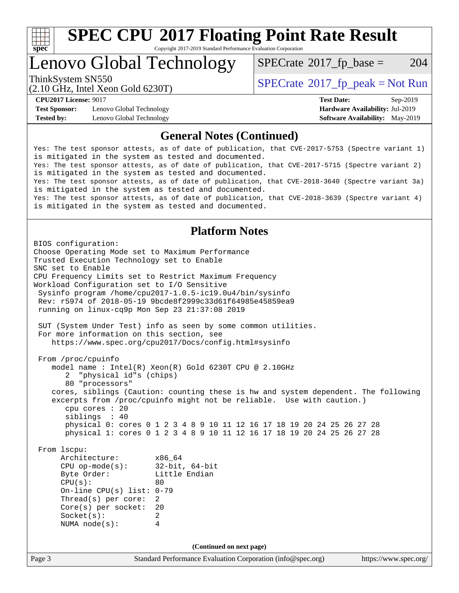

# **[SPEC CPU](http://www.spec.org/auto/cpu2017/Docs/result-fields.html#SPECCPU2017FloatingPointRateResult)[2017 Floating Point Rate Result](http://www.spec.org/auto/cpu2017/Docs/result-fields.html#SPECCPU2017FloatingPointRateResult)**

Copyright 2017-2019 Standard Performance Evaluation Corporation

Lenovo Global Technology

 $SPECTate$ <sup>®</sup>[2017\\_fp\\_base =](http://www.spec.org/auto/cpu2017/Docs/result-fields.html#SPECrate2017fpbase) 204

(2.10 GHz, Intel Xeon Gold 6230T)

ThinkSystem SN550<br>  $SPECTR_{10}$  [SPECrate](http://www.spec.org/auto/cpu2017/Docs/result-fields.html#SPECrate2017fppeak)®[2017\\_fp\\_peak = N](http://www.spec.org/auto/cpu2017/Docs/result-fields.html#SPECrate2017fppeak)ot Run

**[Test Sponsor:](http://www.spec.org/auto/cpu2017/Docs/result-fields.html#TestSponsor)** Lenovo Global Technology **[Hardware Availability:](http://www.spec.org/auto/cpu2017/Docs/result-fields.html#HardwareAvailability)** Jul-2019 **[Tested by:](http://www.spec.org/auto/cpu2017/Docs/result-fields.html#Testedby)** Lenovo Global Technology **[Software Availability:](http://www.spec.org/auto/cpu2017/Docs/result-fields.html#SoftwareAvailability)** May-2019

**[CPU2017 License:](http://www.spec.org/auto/cpu2017/Docs/result-fields.html#CPU2017License)** 9017 **[Test Date:](http://www.spec.org/auto/cpu2017/Docs/result-fields.html#TestDate)** Sep-2019

#### **[General Notes \(Continued\)](http://www.spec.org/auto/cpu2017/Docs/result-fields.html#GeneralNotes)**

Yes: The test sponsor attests, as of date of publication, that CVE-2017-5753 (Spectre variant 1) is mitigated in the system as tested and documented. Yes: The test sponsor attests, as of date of publication, that CVE-2017-5715 (Spectre variant 2) is mitigated in the system as tested and documented. Yes: The test sponsor attests, as of date of publication, that CVE-2018-3640 (Spectre variant 3a) is mitigated in the system as tested and documented. Yes: The test sponsor attests, as of date of publication, that CVE-2018-3639 (Spectre variant 4) is mitigated in the system as tested and documented.

#### **[Platform Notes](http://www.spec.org/auto/cpu2017/Docs/result-fields.html#PlatformNotes)**

Page 3 Standard Performance Evaluation Corporation [\(info@spec.org\)](mailto:info@spec.org) <https://www.spec.org/> BIOS configuration: Choose Operating Mode set to Maximum Performance Trusted Execution Technology set to Enable SNC set to Enable CPU Frequency Limits set to Restrict Maximum Frequency Workload Configuration set to I/O Sensitive Sysinfo program /home/cpu2017-1.0.5-ic19.0u4/bin/sysinfo Rev: r5974 of 2018-05-19 9bcde8f2999c33d61f64985e45859ea9 running on linux-cq9p Mon Sep 23 21:37:08 2019 SUT (System Under Test) info as seen by some common utilities. For more information on this section, see <https://www.spec.org/cpu2017/Docs/config.html#sysinfo> From /proc/cpuinfo model name : Intel(R) Xeon(R) Gold 6230T CPU @ 2.10GHz 2 "physical id"s (chips) 80 "processors" cores, siblings (Caution: counting these is hw and system dependent. The following excerpts from /proc/cpuinfo might not be reliable. Use with caution.) cpu cores : 20 siblings : 40 physical 0: cores 0 1 2 3 4 8 9 10 11 12 16 17 18 19 20 24 25 26 27 28 physical 1: cores 0 1 2 3 4 8 9 10 11 12 16 17 18 19 20 24 25 26 27 28 From lscpu: Architecture: x86\_64<br>
CPU op-mode(s): 32-bit, 64-bit CPU op-mode $(s)$ : Byte Order: Little Endian  $CPU(s):$  80 On-line CPU(s) list: 0-79 Thread(s) per core: 2 Core(s) per socket: 20 Socket(s): 2 NUMA node(s): 4 **(Continued on next page)**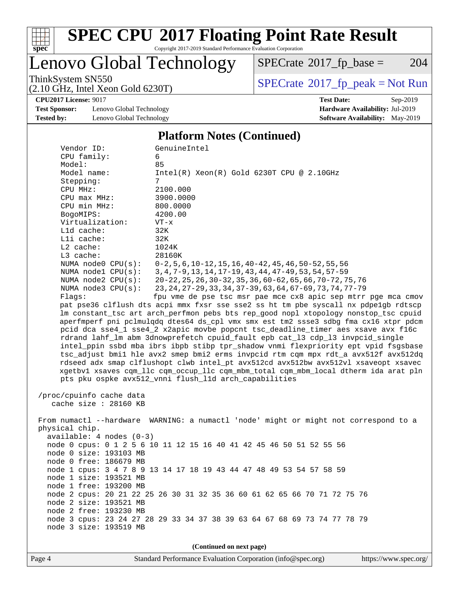

# **[SPEC CPU](http://www.spec.org/auto/cpu2017/Docs/result-fields.html#SPECCPU2017FloatingPointRateResult)[2017 Floating Point Rate Result](http://www.spec.org/auto/cpu2017/Docs/result-fields.html#SPECCPU2017FloatingPointRateResult)**

Copyright 2017-2019 Standard Performance Evaluation Corporation

Lenovo Global Technology

 $SPECTate@2017_fp\_base = 204$ 

(2.10 GHz, Intel Xeon Gold 6230T)

ThinkSystem SN550<br>  $(2.10 \text{ GHz})$  Intel Xeon Gold 6230T)

**[CPU2017 License:](http://www.spec.org/auto/cpu2017/Docs/result-fields.html#CPU2017License)** 9017 **[Test Date:](http://www.spec.org/auto/cpu2017/Docs/result-fields.html#TestDate)** Sep-2019

**[Test Sponsor:](http://www.spec.org/auto/cpu2017/Docs/result-fields.html#TestSponsor)** Lenovo Global Technology **[Hardware Availability:](http://www.spec.org/auto/cpu2017/Docs/result-fields.html#HardwareAvailability)** Jul-2019 **[Tested by:](http://www.spec.org/auto/cpu2017/Docs/result-fields.html#Testedby)** Lenovo Global Technology **[Software Availability:](http://www.spec.org/auto/cpu2017/Docs/result-fields.html#SoftwareAvailability)** May-2019

#### **[Platform Notes \(Continued\)](http://www.spec.org/auto/cpu2017/Docs/result-fields.html#PlatformNotes)**

| Vendor ID:                 | GenuineIntel                                                                         |
|----------------------------|--------------------------------------------------------------------------------------|
| CPU family:                | 6                                                                                    |
| Model:                     | 85                                                                                   |
| Model name:                | $Intel(R) Xeon(R) Gold 6230T CPU @ 2.10GHz$                                          |
| Stepping:                  | 7                                                                                    |
| CPU MHz:                   | 2100.000                                                                             |
| CPU max MHz:               | 3900.0000                                                                            |
| CPU min MHz:               | 800.0000                                                                             |
| BogoMIPS:                  | 4200.00                                                                              |
| Virtualization:            | $VT - x$                                                                             |
| L1d cache:                 | 32K                                                                                  |
| Lli cache:                 | 32K                                                                                  |
| L2 cache:                  | 1024K                                                                                |
| L3 cache:                  | 28160K                                                                               |
| NUMA node0 CPU(s):         | $0-2, 5, 6, 10-12, 15, 16, 40-42, 45, 46, 50-52, 55, 56$                             |
| NUMA $node1$ $CPU(s):$     | 3, 4, 7-9, 13, 14, 17-19, 43, 44, 47-49, 53, 54, 57-59                               |
| NUMA $node2$ $CPU(s):$     | 20-22, 25, 26, 30-32, 35, 36, 60-62, 65, 66, 70-72, 75, 76                           |
| NUMA $node3$ $CPU(s)$ :    | 23, 24, 27-29, 33, 34, 37-39, 63, 64, 67-69, 73, 74, 77-79                           |
| Flags:                     | fpu vme de pse tsc msr pae mce cx8 apic sep mtrr pge mca cmov                        |
|                            | pat pse36 clflush dts acpi mmx fxsr sse sse2 ss ht tm pbe syscall nx pdpelgb rdtscp  |
|                            | lm constant_tsc art arch_perfmon pebs bts rep_good nopl xtopology nonstop_tsc cpuid  |
|                            | aperfmperf pni pclmulqdq dtes64 ds_cpl vmx smx est tm2 ssse3 sdbg fma cx16 xtpr pdcm |
|                            | pcid dca sse4_1 sse4_2 x2apic movbe popcnt tsc_deadline_timer aes xsave avx f16c     |
|                            | rdrand lahf_lm abm 3dnowprefetch cpuid_fault epb cat_13 cdp_13 invpcid_single        |
|                            | intel_ppin ssbd mba ibrs ibpb stibp tpr_shadow vnmi flexpriority ept vpid fsgsbase   |
|                            | tsc_adjust bmil hle avx2 smep bmi2 erms invpcid rtm cqm mpx rdt_a avx512f avx512dq   |
|                            | rdseed adx smap clflushopt clwb intel_pt avx512cd avx512bw avx512vl xsaveopt xsavec  |
|                            | xgetbvl xsaves cqm_llc cqm_occup_llc cqm_mbm_total cqm_mbm_local dtherm ida arat pln |
|                            | pts pku ospke avx512_vnni flush_l1d arch_capabilities                                |
|                            |                                                                                      |
| /proc/cpuinfo cache data   |                                                                                      |
| cache size : 28160 KB      |                                                                                      |
|                            |                                                                                      |
|                            | From numactl --hardware WARNING: a numactl 'node' might or might not correspond to a |
| physical chip.             |                                                                                      |
| $available: 4 nodes (0-3)$ |                                                                                      |
|                            | node 0 cpus: 0 1 2 5 6 10 11 12 15 16 40 41 42 45 46 50 51 52 55 56                  |
| node 0 size: 193103 MB     |                                                                                      |
| node 0 free: 186679 MB     |                                                                                      |
|                            | node 1 cpus: 3 4 7 8 9 13 14 17 18 19 43 44 47 48 49 53 54 57 58 59                  |
| node 1 size: 193521 MB     |                                                                                      |
| node 1 free: 193200 MB     |                                                                                      |
|                            | node 2 cpus: 20 21 22 25 26 30 31 32 35 36 60 61 62 65 66 70 71 72 75 76             |
| node 2 size: 193521 MB     |                                                                                      |
| node 2 free: 193230 MB     |                                                                                      |
|                            | node 3 cpus: 23 24 27 28 29 33 34 37 38 39 63 64 67 68 69 73 74 77 78 79             |
| node 3 size: 193519 MB     |                                                                                      |
|                            |                                                                                      |
|                            | (Continued on next page)                                                             |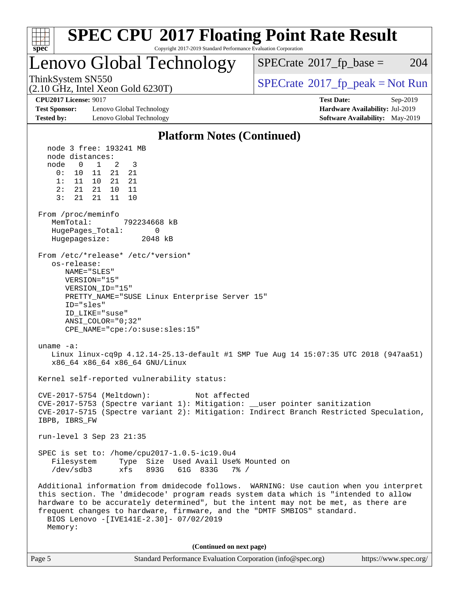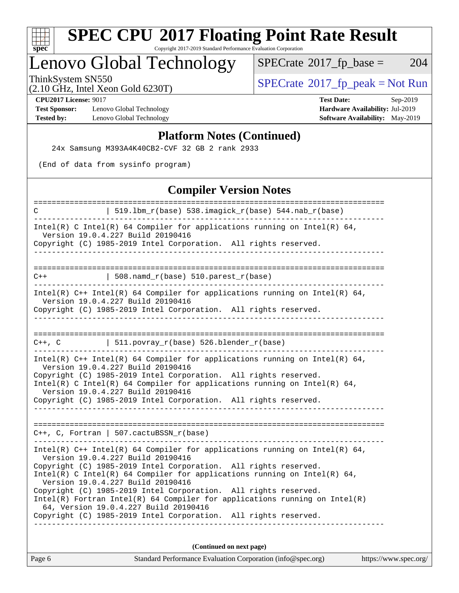

# **[SPEC CPU](http://www.spec.org/auto/cpu2017/Docs/result-fields.html#SPECCPU2017FloatingPointRateResult)[2017 Floating Point Rate Result](http://www.spec.org/auto/cpu2017/Docs/result-fields.html#SPECCPU2017FloatingPointRateResult)**

Copyright 2017-2019 Standard Performance Evaluation Corporation

# Lenovo Global Technology

 $SPECTate@2017_fp\_base = 204$ 

(2.10 GHz, Intel Xeon Gold 6230T)

ThinkSystem SN550<br>  $(2.10 \text{ GHz})$  Intel Xeon Gold 6230T)

**[Test Sponsor:](http://www.spec.org/auto/cpu2017/Docs/result-fields.html#TestSponsor)** Lenovo Global Technology **[Hardware Availability:](http://www.spec.org/auto/cpu2017/Docs/result-fields.html#HardwareAvailability)** Jul-2019 **[Tested by:](http://www.spec.org/auto/cpu2017/Docs/result-fields.html#Testedby)** Lenovo Global Technology **[Software Availability:](http://www.spec.org/auto/cpu2017/Docs/result-fields.html#SoftwareAvailability)** May-2019

**[CPU2017 License:](http://www.spec.org/auto/cpu2017/Docs/result-fields.html#CPU2017License)** 9017 **[Test Date:](http://www.spec.org/auto/cpu2017/Docs/result-fields.html#TestDate)** Sep-2019

#### **[Platform Notes \(Continued\)](http://www.spec.org/auto/cpu2017/Docs/result-fields.html#PlatformNotes)**

24x Samsung M393A4K40CB2-CVF 32 GB 2 rank 2933

(End of data from sysinfo program)

#### **[Compiler Version Notes](http://www.spec.org/auto/cpu2017/Docs/result-fields.html#CompilerVersionNotes)**

| Standard Performance Evaluation Corporation (info@spec.org)<br>https://www.spec.org/<br>Page 6                                                  |
|-------------------------------------------------------------------------------------------------------------------------------------------------|
| (Continued on next page)                                                                                                                        |
|                                                                                                                                                 |
| Copyright (C) 1985-2019 Intel Corporation. All rights reserved.                                                                                 |
| 64, Version 19.0.4.227 Build 20190416                                                                                                           |
| Copyright (C) 1985-2019 Intel Corporation. All rights reserved.<br>$Intel(R)$ Fortran Intel(R) 64 Compiler for applications running on Intel(R) |
| Version 19.0.4.227 Build 20190416                                                                                                               |
| Intel(R) C Intel(R) 64 Compiler for applications running on Intel(R) 64,                                                                        |
| Version 19.0.4.227 Build 20190416<br>Copyright (C) 1985-2019 Intel Corporation. All rights reserved.                                            |
| Intel(R) $C++$ Intel(R) 64 Compiler for applications running on Intel(R) 64,                                                                    |
|                                                                                                                                                 |
| $C++$ , C, Fortran   507.cactuBSSN_r(base)                                                                                                      |
|                                                                                                                                                 |
| Version 19.0.4.227 Build 20190416<br>Copyright (C) 1985-2019 Intel Corporation. All rights reserved.                                            |
| Intel(R) C Intel(R) 64 Compiler for applications running on Intel(R) 64,                                                                        |
| Version 19.0.4.227 Build 20190416<br>Copyright (C) 1985-2019 Intel Corporation. All rights reserved.                                            |
| Intel(R) $C++$ Intel(R) 64 Compiler for applications running on Intel(R) 64,                                                                    |
| C++, C $  511.povray_r(base) 526.blender_r(base)$                                                                                               |
|                                                                                                                                                 |
| Copyright (C) 1985-2019 Intel Corporation. All rights reserved.                                                                                 |
| Intel(R) $C++$ Intel(R) 64 Compiler for applications running on Intel(R) 64,<br>Version 19.0.4.227 Build 20190416                               |
| $508.namd_r(base) 510.parest_r(base)$<br>$C++$                                                                                                  |
|                                                                                                                                                 |
|                                                                                                                                                 |
| Version 19.0.4.227 Build 20190416<br>Copyright (C) 1985-2019 Intel Corporation. All rights reserved.                                            |
| Intel(R) C Intel(R) 64 Compiler for applications running on Intel(R) 64,                                                                        |
| $519.1bm_r(base) 538.imagick_r(base) 544. nab_r(base)$<br>C                                                                                     |
|                                                                                                                                                 |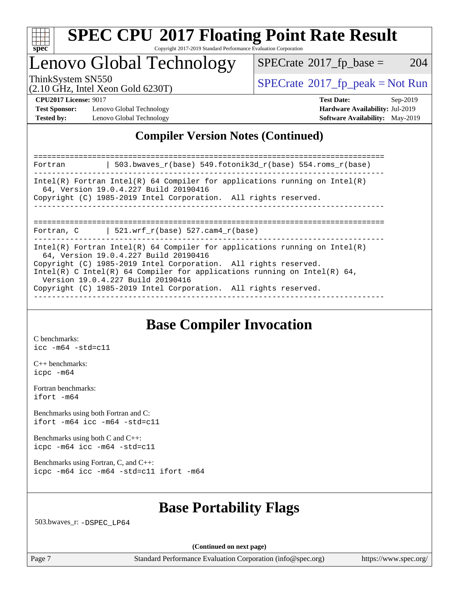

## Lenovo Global Technology

 $SPECTate$ <sup>®</sup>[2017\\_fp\\_base =](http://www.spec.org/auto/cpu2017/Docs/result-fields.html#SPECrate2017fpbase) 204

(2.10 GHz, Intel Xeon Gold 6230T)

ThinkSystem SN550<br>  $(2.10 \text{ GHz}_{\text{total}} \text{ York})$  [SPECrate](http://www.spec.org/auto/cpu2017/Docs/result-fields.html#SPECrate2017fppeak)®[2017\\_fp\\_peak = N](http://www.spec.org/auto/cpu2017/Docs/result-fields.html#SPECrate2017fppeak)ot Run

**[Test Sponsor:](http://www.spec.org/auto/cpu2017/Docs/result-fields.html#TestSponsor)** Lenovo Global Technology **[Hardware Availability:](http://www.spec.org/auto/cpu2017/Docs/result-fields.html#HardwareAvailability)** Jul-2019 **[Tested by:](http://www.spec.org/auto/cpu2017/Docs/result-fields.html#Testedby)** Lenovo Global Technology **[Software Availability:](http://www.spec.org/auto/cpu2017/Docs/result-fields.html#SoftwareAvailability)** May-2019

**[CPU2017 License:](http://www.spec.org/auto/cpu2017/Docs/result-fields.html#CPU2017License)** 9017 **[Test Date:](http://www.spec.org/auto/cpu2017/Docs/result-fields.html#TestDate)** Sep-2019

#### **[Compiler Version Notes \(Continued\)](http://www.spec.org/auto/cpu2017/Docs/result-fields.html#CompilerVersionNotes)**

| 503.bwayes $r(base)$ 549.fotonik3d $r(base)$ 554.roms $r(base)$<br>Fortran                                                                                                                                                                                                                                                                                                 |  |
|----------------------------------------------------------------------------------------------------------------------------------------------------------------------------------------------------------------------------------------------------------------------------------------------------------------------------------------------------------------------------|--|
| Intel(R) Fortran Intel(R) 64 Compiler for applications running on Intel(R)<br>64, Version 19.0.4.227 Build 20190416<br>Copyright (C) 1985-2019 Intel Corporation. All rights reserved.                                                                                                                                                                                     |  |
| Fortran, C $\vert$ 521.wrf_r(base) 527.cam4_r(base)                                                                                                                                                                                                                                                                                                                        |  |
| Intel(R) Fortran Intel(R) 64 Compiler for applications running on Intel(R)<br>64, Version 19.0.4.227 Build 20190416<br>Copyright (C) 1985-2019 Intel Corporation. All rights reserved.<br>Intel(R) C Intel(R) 64 Compiler for applications running on Intel(R) 64,<br>Version 19.0.4.227 Build 20190416<br>Copyright (C) 1985-2019 Intel Corporation. All rights reserved. |  |

### **[Base Compiler Invocation](http://www.spec.org/auto/cpu2017/Docs/result-fields.html#BaseCompilerInvocation)**

[C benchmarks](http://www.spec.org/auto/cpu2017/Docs/result-fields.html#Cbenchmarks): [icc -m64 -std=c11](http://www.spec.org/cpu2017/results/res2019q4/cpu2017-20191014-19171.flags.html#user_CCbase_intel_icc_64bit_c11_33ee0cdaae7deeeab2a9725423ba97205ce30f63b9926c2519791662299b76a0318f32ddfffdc46587804de3178b4f9328c46fa7c2b0cd779d7a61945c91cd35)

[C++ benchmarks:](http://www.spec.org/auto/cpu2017/Docs/result-fields.html#CXXbenchmarks) [icpc -m64](http://www.spec.org/cpu2017/results/res2019q4/cpu2017-20191014-19171.flags.html#user_CXXbase_intel_icpc_64bit_4ecb2543ae3f1412ef961e0650ca070fec7b7afdcd6ed48761b84423119d1bf6bdf5cad15b44d48e7256388bc77273b966e5eb805aefd121eb22e9299b2ec9d9)

[Fortran benchmarks](http://www.spec.org/auto/cpu2017/Docs/result-fields.html#Fortranbenchmarks): [ifort -m64](http://www.spec.org/cpu2017/results/res2019q4/cpu2017-20191014-19171.flags.html#user_FCbase_intel_ifort_64bit_24f2bb282fbaeffd6157abe4f878425411749daecae9a33200eee2bee2fe76f3b89351d69a8130dd5949958ce389cf37ff59a95e7a40d588e8d3a57e0c3fd751)

[Benchmarks using both Fortran and C](http://www.spec.org/auto/cpu2017/Docs/result-fields.html#BenchmarksusingbothFortranandC): [ifort -m64](http://www.spec.org/cpu2017/results/res2019q4/cpu2017-20191014-19171.flags.html#user_CC_FCbase_intel_ifort_64bit_24f2bb282fbaeffd6157abe4f878425411749daecae9a33200eee2bee2fe76f3b89351d69a8130dd5949958ce389cf37ff59a95e7a40d588e8d3a57e0c3fd751) [icc -m64 -std=c11](http://www.spec.org/cpu2017/results/res2019q4/cpu2017-20191014-19171.flags.html#user_CC_FCbase_intel_icc_64bit_c11_33ee0cdaae7deeeab2a9725423ba97205ce30f63b9926c2519791662299b76a0318f32ddfffdc46587804de3178b4f9328c46fa7c2b0cd779d7a61945c91cd35)

[Benchmarks using both C and C++](http://www.spec.org/auto/cpu2017/Docs/result-fields.html#BenchmarksusingbothCandCXX): [icpc -m64](http://www.spec.org/cpu2017/results/res2019q4/cpu2017-20191014-19171.flags.html#user_CC_CXXbase_intel_icpc_64bit_4ecb2543ae3f1412ef961e0650ca070fec7b7afdcd6ed48761b84423119d1bf6bdf5cad15b44d48e7256388bc77273b966e5eb805aefd121eb22e9299b2ec9d9) [icc -m64 -std=c11](http://www.spec.org/cpu2017/results/res2019q4/cpu2017-20191014-19171.flags.html#user_CC_CXXbase_intel_icc_64bit_c11_33ee0cdaae7deeeab2a9725423ba97205ce30f63b9926c2519791662299b76a0318f32ddfffdc46587804de3178b4f9328c46fa7c2b0cd779d7a61945c91cd35)

[Benchmarks using Fortran, C, and C++:](http://www.spec.org/auto/cpu2017/Docs/result-fields.html#BenchmarksusingFortranCandCXX) [icpc -m64](http://www.spec.org/cpu2017/results/res2019q4/cpu2017-20191014-19171.flags.html#user_CC_CXX_FCbase_intel_icpc_64bit_4ecb2543ae3f1412ef961e0650ca070fec7b7afdcd6ed48761b84423119d1bf6bdf5cad15b44d48e7256388bc77273b966e5eb805aefd121eb22e9299b2ec9d9) [icc -m64 -std=c11](http://www.spec.org/cpu2017/results/res2019q4/cpu2017-20191014-19171.flags.html#user_CC_CXX_FCbase_intel_icc_64bit_c11_33ee0cdaae7deeeab2a9725423ba97205ce30f63b9926c2519791662299b76a0318f32ddfffdc46587804de3178b4f9328c46fa7c2b0cd779d7a61945c91cd35) [ifort -m64](http://www.spec.org/cpu2017/results/res2019q4/cpu2017-20191014-19171.flags.html#user_CC_CXX_FCbase_intel_ifort_64bit_24f2bb282fbaeffd6157abe4f878425411749daecae9a33200eee2bee2fe76f3b89351d69a8130dd5949958ce389cf37ff59a95e7a40d588e8d3a57e0c3fd751)

### **[Base Portability Flags](http://www.spec.org/auto/cpu2017/Docs/result-fields.html#BasePortabilityFlags)**

503.bwaves\_r: [-DSPEC\\_LP64](http://www.spec.org/cpu2017/results/res2019q4/cpu2017-20191014-19171.flags.html#suite_basePORTABILITY503_bwaves_r_DSPEC_LP64)

**(Continued on next page)**

Page 7 Standard Performance Evaluation Corporation [\(info@spec.org\)](mailto:info@spec.org) <https://www.spec.org/>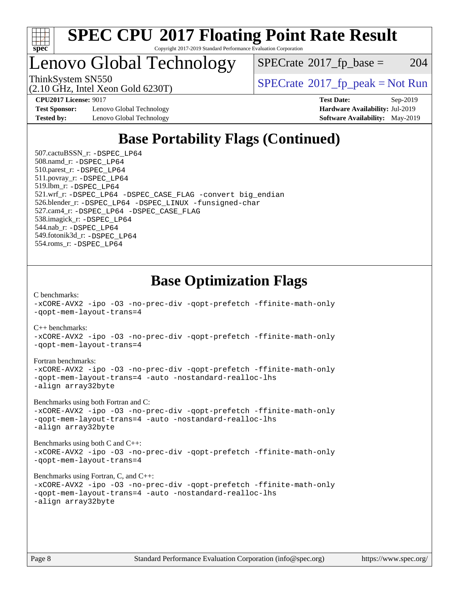

Lenovo Global Technology

 $SPECTate$ <sup>®</sup>[2017\\_fp\\_base =](http://www.spec.org/auto/cpu2017/Docs/result-fields.html#SPECrate2017fpbase) 204

(2.10 GHz, Intel Xeon Gold 6230T)

ThinkSystem SN550<br>  $SPECTR_{10}$  [SPECrate](http://www.spec.org/auto/cpu2017/Docs/result-fields.html#SPECrate2017fppeak)®[2017\\_fp\\_peak = N](http://www.spec.org/auto/cpu2017/Docs/result-fields.html#SPECrate2017fppeak)ot Run

**[Test Sponsor:](http://www.spec.org/auto/cpu2017/Docs/result-fields.html#TestSponsor)** Lenovo Global Technology **[Hardware Availability:](http://www.spec.org/auto/cpu2017/Docs/result-fields.html#HardwareAvailability)** Jul-2019 **[Tested by:](http://www.spec.org/auto/cpu2017/Docs/result-fields.html#Testedby)** Lenovo Global Technology **[Software Availability:](http://www.spec.org/auto/cpu2017/Docs/result-fields.html#SoftwareAvailability)** May-2019

**[CPU2017 License:](http://www.spec.org/auto/cpu2017/Docs/result-fields.html#CPU2017License)** 9017 **[Test Date:](http://www.spec.org/auto/cpu2017/Docs/result-fields.html#TestDate)** Sep-2019

### **[Base Portability Flags \(Continued\)](http://www.spec.org/auto/cpu2017/Docs/result-fields.html#BasePortabilityFlags)**

 507.cactuBSSN\_r: [-DSPEC\\_LP64](http://www.spec.org/cpu2017/results/res2019q4/cpu2017-20191014-19171.flags.html#suite_basePORTABILITY507_cactuBSSN_r_DSPEC_LP64) 508.namd\_r: [-DSPEC\\_LP64](http://www.spec.org/cpu2017/results/res2019q4/cpu2017-20191014-19171.flags.html#suite_basePORTABILITY508_namd_r_DSPEC_LP64) 510.parest\_r: [-DSPEC\\_LP64](http://www.spec.org/cpu2017/results/res2019q4/cpu2017-20191014-19171.flags.html#suite_basePORTABILITY510_parest_r_DSPEC_LP64) 511.povray\_r: [-DSPEC\\_LP64](http://www.spec.org/cpu2017/results/res2019q4/cpu2017-20191014-19171.flags.html#suite_basePORTABILITY511_povray_r_DSPEC_LP64) 519.lbm\_r: [-DSPEC\\_LP64](http://www.spec.org/cpu2017/results/res2019q4/cpu2017-20191014-19171.flags.html#suite_basePORTABILITY519_lbm_r_DSPEC_LP64) 521.wrf\_r: [-DSPEC\\_LP64](http://www.spec.org/cpu2017/results/res2019q4/cpu2017-20191014-19171.flags.html#suite_basePORTABILITY521_wrf_r_DSPEC_LP64) [-DSPEC\\_CASE\\_FLAG](http://www.spec.org/cpu2017/results/res2019q4/cpu2017-20191014-19171.flags.html#b521.wrf_r_baseCPORTABILITY_DSPEC_CASE_FLAG) [-convert big\\_endian](http://www.spec.org/cpu2017/results/res2019q4/cpu2017-20191014-19171.flags.html#user_baseFPORTABILITY521_wrf_r_convert_big_endian_c3194028bc08c63ac5d04de18c48ce6d347e4e562e8892b8bdbdc0214820426deb8554edfa529a3fb25a586e65a3d812c835984020483e7e73212c4d31a38223) 526.blender\_r: [-DSPEC\\_LP64](http://www.spec.org/cpu2017/results/res2019q4/cpu2017-20191014-19171.flags.html#suite_basePORTABILITY526_blender_r_DSPEC_LP64) [-DSPEC\\_LINUX](http://www.spec.org/cpu2017/results/res2019q4/cpu2017-20191014-19171.flags.html#b526.blender_r_baseCPORTABILITY_DSPEC_LINUX) [-funsigned-char](http://www.spec.org/cpu2017/results/res2019q4/cpu2017-20191014-19171.flags.html#user_baseCPORTABILITY526_blender_r_force_uchar_40c60f00ab013830e2dd6774aeded3ff59883ba5a1fc5fc14077f794d777847726e2a5858cbc7672e36e1b067e7e5c1d9a74f7176df07886a243d7cc18edfe67) 527.cam4\_r: [-DSPEC\\_LP64](http://www.spec.org/cpu2017/results/res2019q4/cpu2017-20191014-19171.flags.html#suite_basePORTABILITY527_cam4_r_DSPEC_LP64) [-DSPEC\\_CASE\\_FLAG](http://www.spec.org/cpu2017/results/res2019q4/cpu2017-20191014-19171.flags.html#b527.cam4_r_baseCPORTABILITY_DSPEC_CASE_FLAG) 538.imagick\_r: [-DSPEC\\_LP64](http://www.spec.org/cpu2017/results/res2019q4/cpu2017-20191014-19171.flags.html#suite_basePORTABILITY538_imagick_r_DSPEC_LP64) 544.nab\_r: [-DSPEC\\_LP64](http://www.spec.org/cpu2017/results/res2019q4/cpu2017-20191014-19171.flags.html#suite_basePORTABILITY544_nab_r_DSPEC_LP64) 549.fotonik3d\_r: [-DSPEC\\_LP64](http://www.spec.org/cpu2017/results/res2019q4/cpu2017-20191014-19171.flags.html#suite_basePORTABILITY549_fotonik3d_r_DSPEC_LP64) 554.roms\_r: [-DSPEC\\_LP64](http://www.spec.org/cpu2017/results/res2019q4/cpu2017-20191014-19171.flags.html#suite_basePORTABILITY554_roms_r_DSPEC_LP64)

### **[Base Optimization Flags](http://www.spec.org/auto/cpu2017/Docs/result-fields.html#BaseOptimizationFlags)**

[C benchmarks](http://www.spec.org/auto/cpu2017/Docs/result-fields.html#Cbenchmarks): [-xCORE-AVX2](http://www.spec.org/cpu2017/results/res2019q4/cpu2017-20191014-19171.flags.html#user_CCbase_f-xCORE-AVX2) [-ipo](http://www.spec.org/cpu2017/results/res2019q4/cpu2017-20191014-19171.flags.html#user_CCbase_f-ipo) [-O3](http://www.spec.org/cpu2017/results/res2019q4/cpu2017-20191014-19171.flags.html#user_CCbase_f-O3) [-no-prec-div](http://www.spec.org/cpu2017/results/res2019q4/cpu2017-20191014-19171.flags.html#user_CCbase_f-no-prec-div) [-qopt-prefetch](http://www.spec.org/cpu2017/results/res2019q4/cpu2017-20191014-19171.flags.html#user_CCbase_f-qopt-prefetch) [-ffinite-math-only](http://www.spec.org/cpu2017/results/res2019q4/cpu2017-20191014-19171.flags.html#user_CCbase_f_finite_math_only_cb91587bd2077682c4b38af759c288ed7c732db004271a9512da14a4f8007909a5f1427ecbf1a0fb78ff2a814402c6114ac565ca162485bbcae155b5e4258871) [-qopt-mem-layout-trans=4](http://www.spec.org/cpu2017/results/res2019q4/cpu2017-20191014-19171.flags.html#user_CCbase_f-qopt-mem-layout-trans_fa39e755916c150a61361b7846f310bcdf6f04e385ef281cadf3647acec3f0ae266d1a1d22d972a7087a248fd4e6ca390a3634700869573d231a252c784941a8)

[C++ benchmarks:](http://www.spec.org/auto/cpu2017/Docs/result-fields.html#CXXbenchmarks)

[-xCORE-AVX2](http://www.spec.org/cpu2017/results/res2019q4/cpu2017-20191014-19171.flags.html#user_CXXbase_f-xCORE-AVX2) [-ipo](http://www.spec.org/cpu2017/results/res2019q4/cpu2017-20191014-19171.flags.html#user_CXXbase_f-ipo) [-O3](http://www.spec.org/cpu2017/results/res2019q4/cpu2017-20191014-19171.flags.html#user_CXXbase_f-O3) [-no-prec-div](http://www.spec.org/cpu2017/results/res2019q4/cpu2017-20191014-19171.flags.html#user_CXXbase_f-no-prec-div) [-qopt-prefetch](http://www.spec.org/cpu2017/results/res2019q4/cpu2017-20191014-19171.flags.html#user_CXXbase_f-qopt-prefetch) [-ffinite-math-only](http://www.spec.org/cpu2017/results/res2019q4/cpu2017-20191014-19171.flags.html#user_CXXbase_f_finite_math_only_cb91587bd2077682c4b38af759c288ed7c732db004271a9512da14a4f8007909a5f1427ecbf1a0fb78ff2a814402c6114ac565ca162485bbcae155b5e4258871) [-qopt-mem-layout-trans=4](http://www.spec.org/cpu2017/results/res2019q4/cpu2017-20191014-19171.flags.html#user_CXXbase_f-qopt-mem-layout-trans_fa39e755916c150a61361b7846f310bcdf6f04e385ef281cadf3647acec3f0ae266d1a1d22d972a7087a248fd4e6ca390a3634700869573d231a252c784941a8)

[Fortran benchmarks](http://www.spec.org/auto/cpu2017/Docs/result-fields.html#Fortranbenchmarks):

[-xCORE-AVX2](http://www.spec.org/cpu2017/results/res2019q4/cpu2017-20191014-19171.flags.html#user_FCbase_f-xCORE-AVX2) [-ipo](http://www.spec.org/cpu2017/results/res2019q4/cpu2017-20191014-19171.flags.html#user_FCbase_f-ipo) [-O3](http://www.spec.org/cpu2017/results/res2019q4/cpu2017-20191014-19171.flags.html#user_FCbase_f-O3) [-no-prec-div](http://www.spec.org/cpu2017/results/res2019q4/cpu2017-20191014-19171.flags.html#user_FCbase_f-no-prec-div) [-qopt-prefetch](http://www.spec.org/cpu2017/results/res2019q4/cpu2017-20191014-19171.flags.html#user_FCbase_f-qopt-prefetch) [-ffinite-math-only](http://www.spec.org/cpu2017/results/res2019q4/cpu2017-20191014-19171.flags.html#user_FCbase_f_finite_math_only_cb91587bd2077682c4b38af759c288ed7c732db004271a9512da14a4f8007909a5f1427ecbf1a0fb78ff2a814402c6114ac565ca162485bbcae155b5e4258871) [-qopt-mem-layout-trans=4](http://www.spec.org/cpu2017/results/res2019q4/cpu2017-20191014-19171.flags.html#user_FCbase_f-qopt-mem-layout-trans_fa39e755916c150a61361b7846f310bcdf6f04e385ef281cadf3647acec3f0ae266d1a1d22d972a7087a248fd4e6ca390a3634700869573d231a252c784941a8) [-auto](http://www.spec.org/cpu2017/results/res2019q4/cpu2017-20191014-19171.flags.html#user_FCbase_f-auto) [-nostandard-realloc-lhs](http://www.spec.org/cpu2017/results/res2019q4/cpu2017-20191014-19171.flags.html#user_FCbase_f_2003_std_realloc_82b4557e90729c0f113870c07e44d33d6f5a304b4f63d4c15d2d0f1fab99f5daaed73bdb9275d9ae411527f28b936061aa8b9c8f2d63842963b95c9dd6426b8a) [-align array32byte](http://www.spec.org/cpu2017/results/res2019q4/cpu2017-20191014-19171.flags.html#user_FCbase_align_array32byte_b982fe038af199962ba9a80c053b8342c548c85b40b8e86eb3cc33dee0d7986a4af373ac2d51c3f7cf710a18d62fdce2948f201cd044323541f22fc0fffc51b6)

[Benchmarks using both Fortran and C](http://www.spec.org/auto/cpu2017/Docs/result-fields.html#BenchmarksusingbothFortranandC):

[-xCORE-AVX2](http://www.spec.org/cpu2017/results/res2019q4/cpu2017-20191014-19171.flags.html#user_CC_FCbase_f-xCORE-AVX2) [-ipo](http://www.spec.org/cpu2017/results/res2019q4/cpu2017-20191014-19171.flags.html#user_CC_FCbase_f-ipo) [-O3](http://www.spec.org/cpu2017/results/res2019q4/cpu2017-20191014-19171.flags.html#user_CC_FCbase_f-O3) [-no-prec-div](http://www.spec.org/cpu2017/results/res2019q4/cpu2017-20191014-19171.flags.html#user_CC_FCbase_f-no-prec-div) [-qopt-prefetch](http://www.spec.org/cpu2017/results/res2019q4/cpu2017-20191014-19171.flags.html#user_CC_FCbase_f-qopt-prefetch) [-ffinite-math-only](http://www.spec.org/cpu2017/results/res2019q4/cpu2017-20191014-19171.flags.html#user_CC_FCbase_f_finite_math_only_cb91587bd2077682c4b38af759c288ed7c732db004271a9512da14a4f8007909a5f1427ecbf1a0fb78ff2a814402c6114ac565ca162485bbcae155b5e4258871) [-qopt-mem-layout-trans=4](http://www.spec.org/cpu2017/results/res2019q4/cpu2017-20191014-19171.flags.html#user_CC_FCbase_f-qopt-mem-layout-trans_fa39e755916c150a61361b7846f310bcdf6f04e385ef281cadf3647acec3f0ae266d1a1d22d972a7087a248fd4e6ca390a3634700869573d231a252c784941a8) [-auto](http://www.spec.org/cpu2017/results/res2019q4/cpu2017-20191014-19171.flags.html#user_CC_FCbase_f-auto) [-nostandard-realloc-lhs](http://www.spec.org/cpu2017/results/res2019q4/cpu2017-20191014-19171.flags.html#user_CC_FCbase_f_2003_std_realloc_82b4557e90729c0f113870c07e44d33d6f5a304b4f63d4c15d2d0f1fab99f5daaed73bdb9275d9ae411527f28b936061aa8b9c8f2d63842963b95c9dd6426b8a) [-align array32byte](http://www.spec.org/cpu2017/results/res2019q4/cpu2017-20191014-19171.flags.html#user_CC_FCbase_align_array32byte_b982fe038af199962ba9a80c053b8342c548c85b40b8e86eb3cc33dee0d7986a4af373ac2d51c3f7cf710a18d62fdce2948f201cd044323541f22fc0fffc51b6)

[Benchmarks using both C and C++](http://www.spec.org/auto/cpu2017/Docs/result-fields.html#BenchmarksusingbothCandCXX): [-xCORE-AVX2](http://www.spec.org/cpu2017/results/res2019q4/cpu2017-20191014-19171.flags.html#user_CC_CXXbase_f-xCORE-AVX2) [-ipo](http://www.spec.org/cpu2017/results/res2019q4/cpu2017-20191014-19171.flags.html#user_CC_CXXbase_f-ipo) [-O3](http://www.spec.org/cpu2017/results/res2019q4/cpu2017-20191014-19171.flags.html#user_CC_CXXbase_f-O3) [-no-prec-div](http://www.spec.org/cpu2017/results/res2019q4/cpu2017-20191014-19171.flags.html#user_CC_CXXbase_f-no-prec-div) [-qopt-prefetch](http://www.spec.org/cpu2017/results/res2019q4/cpu2017-20191014-19171.flags.html#user_CC_CXXbase_f-qopt-prefetch) [-ffinite-math-only](http://www.spec.org/cpu2017/results/res2019q4/cpu2017-20191014-19171.flags.html#user_CC_CXXbase_f_finite_math_only_cb91587bd2077682c4b38af759c288ed7c732db004271a9512da14a4f8007909a5f1427ecbf1a0fb78ff2a814402c6114ac565ca162485bbcae155b5e4258871) [-qopt-mem-layout-trans=4](http://www.spec.org/cpu2017/results/res2019q4/cpu2017-20191014-19171.flags.html#user_CC_CXXbase_f-qopt-mem-layout-trans_fa39e755916c150a61361b7846f310bcdf6f04e385ef281cadf3647acec3f0ae266d1a1d22d972a7087a248fd4e6ca390a3634700869573d231a252c784941a8)

[Benchmarks using Fortran, C, and C++:](http://www.spec.org/auto/cpu2017/Docs/result-fields.html#BenchmarksusingFortranCandCXX)

```
-xCORE-AVX2 -ipo -O3 -no-prec-div -qopt-prefetch -ffinite-math-only
-qopt-mem-layout-trans=4 -auto -nostandard-realloc-lhs
-align array32byte
```